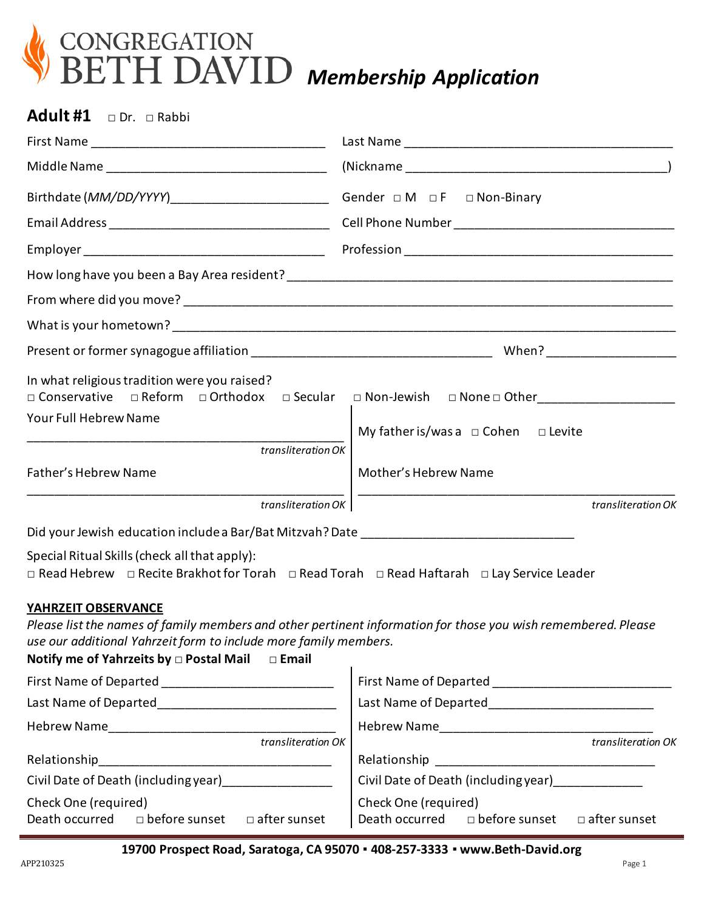

**Adult #1** □ Dr. □ Rabbi

| In what religious tradition were you raised?<br>□ Conservative □ Reform<br>$\Box$ Orthodox $\Box$ Secular                                                                                                                                                   | □ Non-Jewish □ None □ Other__________________________ |  |  |
|-------------------------------------------------------------------------------------------------------------------------------------------------------------------------------------------------------------------------------------------------------------|-------------------------------------------------------|--|--|
| Your Full Hebrew Name                                                                                                                                                                                                                                       | My father is/was a $\Box$ Cohen $\Box$ Levite         |  |  |
| transliteration OK                                                                                                                                                                                                                                          |                                                       |  |  |
| Father's Hebrew Name                                                                                                                                                                                                                                        | Mother's Hebrew Name                                  |  |  |
| <u> 1989 - Johann Harry Harry Harry Harry Harry Harry Harry Harry Harry Harry Harry Harry Harry Harry Harry Harry H</u><br>transliteration OK                                                                                                               | transliteration OK                                    |  |  |
|                                                                                                                                                                                                                                                             |                                                       |  |  |
| Special Ritual Skills (check all that apply):<br>$\Box$ Read Hebrew $\Box$ Recite Brakhot for Torah $\Box$ Read Torah $\Box$ Read Haftarah $\Box$ Lay Service Leader                                                                                        |                                                       |  |  |
| YAHRZEIT OBSERVANCE<br>Please list the names of family members and other pertinent information for those you wish remembered. Please<br>use our additional Yahrzeit form to include more family members.<br>Notify me of Yahrzeits by □ Postal Mail □ Email |                                                       |  |  |
|                                                                                                                                                                                                                                                             |                                                       |  |  |
|                                                                                                                                                                                                                                                             | Last Name of Departed________________________________ |  |  |
|                                                                                                                                                                                                                                                             |                                                       |  |  |
| Relationship                                                                                                                                                                                                                                                |                                                       |  |  |
|                                                                                                                                                                                                                                                             | Civil Date of Death (including year)                  |  |  |
| Check One (required)                                                                                                                                                                                                                                        | Check One (required)                                  |  |  |
|                                                                                                                                                                                                                                                             | Death occurred □ before sunset □ after sunset         |  |  |

**19700 Prospect Road, Saratoga, CA 95070 ▪ 408-257-3333 ▪ www.Beth-David.org**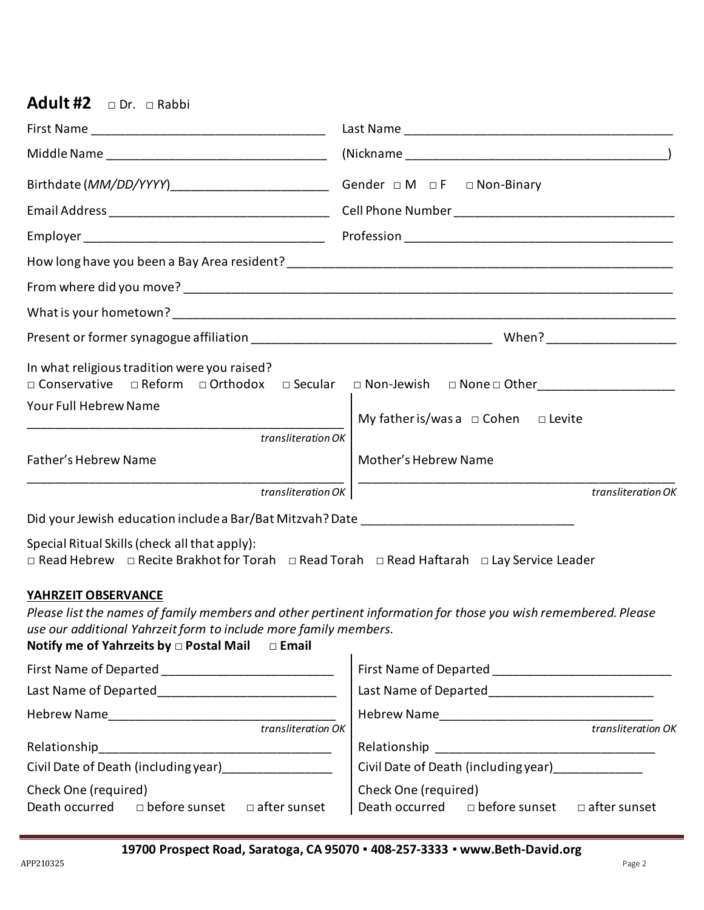## **Adult #2** □ Dr. □ Rabbi

| Birthdate ( <i>MM/DD/YYYY</i> )______________________________Gender □ M □ F □ Non-Binary                                                                                                                                                                              |                                                                                                    |  |  |
|-----------------------------------------------------------------------------------------------------------------------------------------------------------------------------------------------------------------------------------------------------------------------|----------------------------------------------------------------------------------------------------|--|--|
|                                                                                                                                                                                                                                                                       |                                                                                                    |  |  |
|                                                                                                                                                                                                                                                                       |                                                                                                    |  |  |
|                                                                                                                                                                                                                                                                       |                                                                                                    |  |  |
|                                                                                                                                                                                                                                                                       |                                                                                                    |  |  |
|                                                                                                                                                                                                                                                                       |                                                                                                    |  |  |
|                                                                                                                                                                                                                                                                       |                                                                                                    |  |  |
| In what religious tradition were you raised?                                                                                                                                                                                                                          | □ Conservative □ Reform □ Orthodox □ Secular □ Non-Jewish □ None□ Other __________________________ |  |  |
| Your Full Hebrew Name                                                                                                                                                                                                                                                 | My father is/was a $\Box$ Cohen $\Box$ Levite                                                      |  |  |
| transliteration OK                                                                                                                                                                                                                                                    |                                                                                                    |  |  |
| Father's Hebrew Name                                                                                                                                                                                                                                                  | Mother's Hebrew Name                                                                               |  |  |
| transliteration OK                                                                                                                                                                                                                                                    | transliteration OK                                                                                 |  |  |
|                                                                                                                                                                                                                                                                       |                                                                                                    |  |  |
| Special Ritual Skills (check all that apply):<br>□ Read Hebrew □ Recite Brakhot for Torah □ Read Torah □ Read Haftarah □ Lay Service Leader                                                                                                                           |                                                                                                    |  |  |
| YAHRZEIT OBSERVANCE<br>Please list the names of family members and other pertinent information for those you wish remembered. Please<br>use our additional Yahrzeit form to include more family members.<br>Notify me of Yahrzeits by $\Box$ Postal Mail $\Box$ Email |                                                                                                    |  |  |
|                                                                                                                                                                                                                                                                       | First Name of Departed ________________________________                                            |  |  |
|                                                                                                                                                                                                                                                                       | Last Name of Departed______________________________                                                |  |  |
|                                                                                                                                                                                                                                                                       |                                                                                                    |  |  |
| $\overline{t}$ transliteration OK                                                                                                                                                                                                                                     | transliteration OK                                                                                 |  |  |
| Civil Date of Death (including year)_________________                                                                                                                                                                                                                 | Civil Date of Death (including year) [1994]                                                        |  |  |
| Check One (required)                                                                                                                                                                                                                                                  | Check One (required)                                                                               |  |  |
| Death occurred<br>□ before sunset □ after sunset                                                                                                                                                                                                                      | Death occurred<br>□ before sunset □ after sunset                                                   |  |  |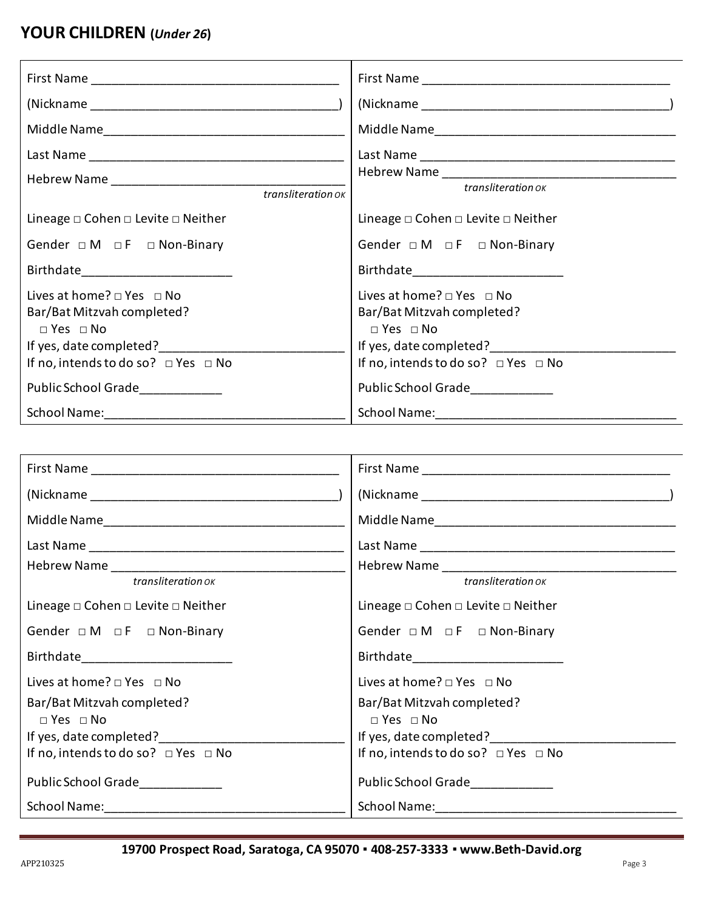# **YOUR CHILDREN (***Under 26***)**

| transliteration ok                                                                                                                                                         | transliteration ok                                                                                                                                                    |
|----------------------------------------------------------------------------------------------------------------------------------------------------------------------------|-----------------------------------------------------------------------------------------------------------------------------------------------------------------------|
| Lineage $\square$ Cohen $\square$ Levite $\square$ Neither                                                                                                                 | Lineage $\square$ Cohen $\square$ Levite $\square$ Neither                                                                                                            |
| Gender $\Box M$ $\Box F$ $\Box$ Non-Binary                                                                                                                                 | Gender $\Box M$ $\Box F$ $\Box$ Non-Binary                                                                                                                            |
| Birthdate_________________________                                                                                                                                         | Birthdate________________________                                                                                                                                     |
| Lives at home? $\Box$ Yes $\Box$ No<br>Bar/Bat Mitzvah completed?<br>$\Box$ Yes $\Box$ No<br>If yes, date completed?_____<br>If no, intends to do so? $\Box$ Yes $\Box$ No | Lives at home? $\Box$ Yes $\Box$ No<br>Bar/Bat Mitzvah completed?<br>$\Box$ Yes $\Box$ No<br>If yes, date completed?<br>If no, intends to do so? $\Box$ Yes $\Box$ No |
| Public School Grade                                                                                                                                                        | Public School Grade                                                                                                                                                   |
|                                                                                                                                                                            |                                                                                                                                                                       |

| transliteration ok                                | transliteration ok                                         |
|---------------------------------------------------|------------------------------------------------------------|
| Lineage $\Box$ Cohen $\Box$ Levite $\Box$ Neither | Lineage $\square$ Cohen $\square$ Levite $\square$ Neither |
| Gender $\Box M$ $\Box F$ $\Box$ Non-Binary        | Gender $\Box M$ $\Box F$ $\Box$ Non-Binary                 |
| Birthdate__________________________               |                                                            |
| Lives at home? $\Box$ Yes $\Box$ No               | Lives at home? $\Box$ Yes $\Box$ No                        |
| Bar/Bat Mitzvah completed?                        | Bar/Bat Mitzvah completed?                                 |
| $\Box$ Yes $\Box$ No                              | $\Box$ Yes $\Box$ No                                       |
| If yes, date completed?                           | If yes, date completed?                                    |
| If no, intends to do so? $\Box$ Yes $\Box$ No     | If no, intends to do so? $\Box$ Yes $\Box$ No              |
| Public School Grade                               | Public School Grade                                        |
|                                                   |                                                            |

**19700 Prospect Road, Saratoga, CA 95070 ▪ 408-257-3333 ▪ www.Beth-David.org**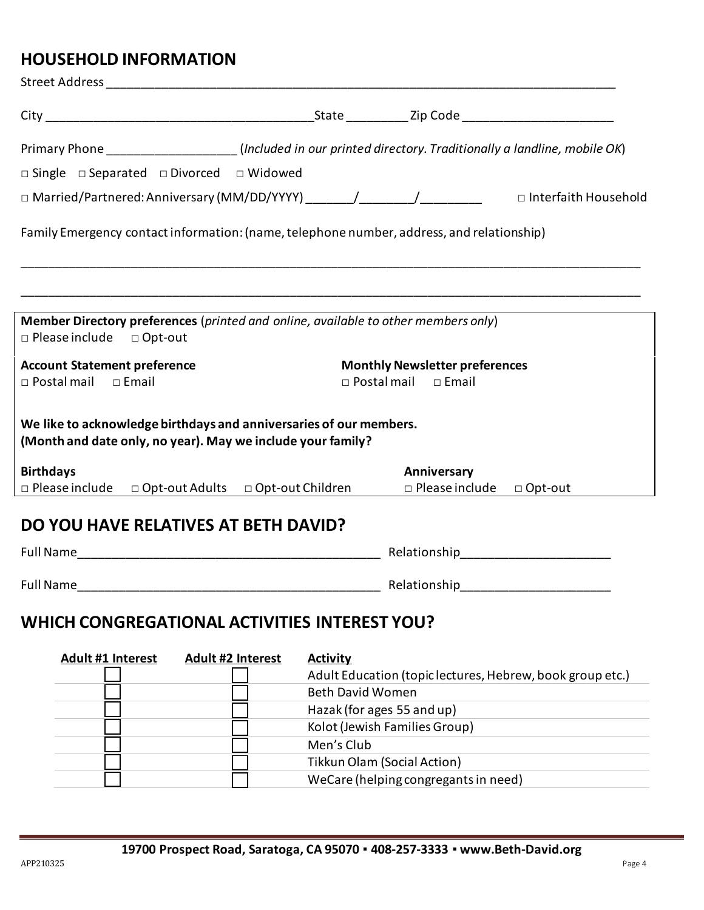### **HOUSEHOLD INFORMATION**

| Street Address and the street of the street and the street and the street and the street and the street and the                   |                         |                                                                                                                                                                                                                                  |                                                           |
|-----------------------------------------------------------------------------------------------------------------------------------|-------------------------|----------------------------------------------------------------------------------------------------------------------------------------------------------------------------------------------------------------------------------|-----------------------------------------------------------|
|                                                                                                                                   |                         |                                                                                                                                                                                                                                  |                                                           |
| Primary Phone ____________________(Included in our printed directory. Traditionally a landline, mobile OK)                        |                         |                                                                                                                                                                                                                                  |                                                           |
| □ Single □ Separated □ Divorced □ Widowed                                                                                         |                         |                                                                                                                                                                                                                                  |                                                           |
| □ Married/Partnered: Anniversary (MM/DD/YYYY) _______/________/_____________  □ Interfaith Household                              |                         |                                                                                                                                                                                                                                  |                                                           |
| Family Emergency contact information: (name, telephone number, address, and relationship)                                         |                         |                                                                                                                                                                                                                                  |                                                           |
| Member Directory preferences (printed and online, available to other members only)<br>$\Box$ Please include $\Box$ Opt-out        |                         |                                                                                                                                                                                                                                  |                                                           |
| <b>Account Statement preference</b><br>$\square$ Postal mail<br>$\Box$ Email                                                      | $\Box$ Postal mail      | <b>Monthly Newsletter preferences</b><br>$\square$ Email                                                                                                                                                                         |                                                           |
| We like to acknowledge birthdays and anniversaries of our members.<br>(Month and date only, no year). May we include your family? |                         |                                                                                                                                                                                                                                  |                                                           |
| <b>Birthdays</b>                                                                                                                  |                         | Anniversary                                                                                                                                                                                                                      |                                                           |
| $\Box$ Please include $\Box$ Opt-out Adults $\Box$ Opt-out Children                                                               |                         | □ Please include □ Opt-out                                                                                                                                                                                                       |                                                           |
| DO YOU HAVE RELATIVES AT BETH DAVID?                                                                                              |                         | Relationship<br>Management and the set of the set of the set of the set of the set of the set of the set of the set of the set of the set of the set of the set of the set of the set of the set of the set of the set of the se |                                                           |
|                                                                                                                                   |                         |                                                                                                                                                                                                                                  |                                                           |
| <b>Full Name</b>                                                                                                                  |                         | Relationship                                                                                                                                                                                                                     |                                                           |
| WHICH CONGREGATIONAL ACTIVITIES INTEREST YOU?                                                                                     |                         |                                                                                                                                                                                                                                  |                                                           |
| Adult #1 Interest<br>Adult #2 Interest                                                                                            | <b>Activity</b>         |                                                                                                                                                                                                                                  |                                                           |
|                                                                                                                                   |                         |                                                                                                                                                                                                                                  | Adult Education (topic lectures, Hebrew, book group etc.) |
|                                                                                                                                   | <b>Beth David Women</b> |                                                                                                                                                                                                                                  |                                                           |
|                                                                                                                                   |                         | Hazak (for ages 55 and up)                                                                                                                                                                                                       |                                                           |
|                                                                                                                                   |                         | Kolot (Jewish Families Group)                                                                                                                                                                                                    |                                                           |
|                                                                                                                                   | Men's Club              |                                                                                                                                                                                                                                  |                                                           |
|                                                                                                                                   |                         | <b>Tikkun Olam (Social Action)</b>                                                                                                                                                                                               |                                                           |

WeCare (helping congregants in need)